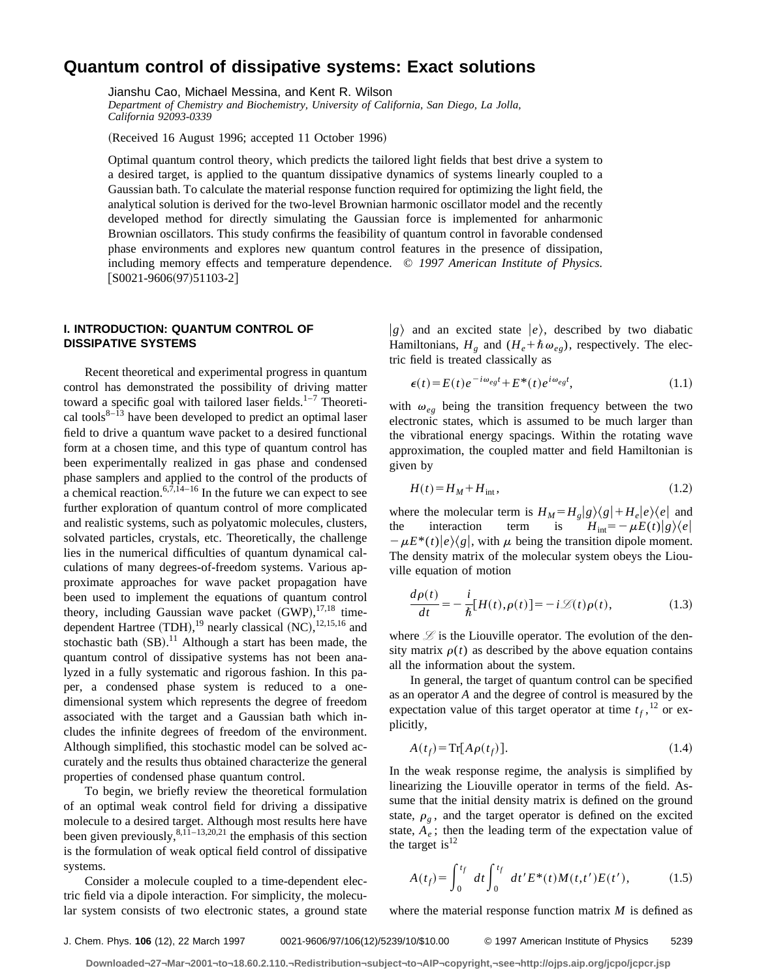# **Quantum control of dissipative systems: Exact solutions**

Jianshu Cao, Michael Messina, and Kent R. Wilson

*Department of Chemistry and Biochemistry, University of California, San Diego, La Jolla, California 92093-0339*

(Received 16 August 1996; accepted 11 October 1996)

Optimal quantum control theory, which predicts the tailored light fields that best drive a system to a desired target, is applied to the quantum dissipative dynamics of systems linearly coupled to a Gaussian bath. To calculate the material response function required for optimizing the light field, the analytical solution is derived for the two-level Brownian harmonic oscillator model and the recently developed method for directly simulating the Gaussian force is implemented for anharmonic Brownian oscillators. This study confirms the feasibility of quantum control in favorable condensed phase environments and explores new quantum control features in the presence of dissipation, including memory effects and temperature dependence. © *1997 American Institute of Physics.*  $[SO021-9606(97)51103-2]$ 

# **I. INTRODUCTION: QUANTUM CONTROL OF DISSIPATIVE SYSTEMS**

Recent theoretical and experimental progress in quantum control has demonstrated the possibility of driving matter toward a specific goal with tailored laser fields. $1-7$  Theoretical tools $8-\overline{13}$  have been developed to predict an optimal laser field to drive a quantum wave packet to a desired functional form at a chosen time, and this type of quantum control has been experimentally realized in gas phase and condensed phase samplers and applied to the control of the products of a chemical reaction.<sup>6,7,14–16</sup> In the future we can expect to see further exploration of quantum control of more complicated and realistic systems, such as polyatomic molecules, clusters, solvated particles, crystals, etc. Theoretically, the challenge lies in the numerical difficulties of quantum dynamical calculations of many degrees-of-freedom systems. Various approximate approaches for wave packet propagation have been used to implement the equations of quantum control theory, including Gaussian wave packet  $(GWP)$ ,  $^{17,18}$  timedependent Hartree  $(TDH)$ ,  $^{19}$  nearly classical  $(NC)$ ,  $^{12,15,16}$  and stochastic bath  $(SB)$ .<sup>11</sup> Although a start has been made, the quantum control of dissipative systems has not been analyzed in a fully systematic and rigorous fashion. In this paper, a condensed phase system is reduced to a onedimensional system which represents the degree of freedom associated with the target and a Gaussian bath which includes the infinite degrees of freedom of the environment. Although simplified, this stochastic model can be solved accurately and the results thus obtained characterize the general properties of condensed phase quantum control.

To begin, we briefly review the theoretical formulation of an optimal weak control field for driving a dissipative molecule to a desired target. Although most results here have been given previously,  $8,1\overline{1}$ –13,20,21 the emphasis of this section is the formulation of weak optical field control of dissipative systems.

Consider a molecule coupled to a time-dependent electric field via a dipole interaction. For simplicity, the molecular system consists of two electronic states, a ground state  $|g\rangle$  and an excited state  $|e\rangle$ , described by two diabatic Hamiltonians,  $H_g$  and  $(H_e + \hbar \omega_{eg})$ , respectively. The electric field is treated classically as

$$
\epsilon(t) = E(t)e^{-i\omega_{eg}t} + E^*(t)e^{i\omega_{eg}t}, \qquad (1.1)
$$

with  $\omega_{eg}$  being the transition frequency between the two electronic states, which is assumed to be much larger than the vibrational energy spacings. Within the rotating wave approximation, the coupled matter and field Hamiltonian is given by

$$
H(t) = H_M + H_{\text{int}},\tag{1.2}
$$

where the molecular term is  $H_M = H_g|g\rangle\langle g| + H_e|e\rangle\langle e|$  and<br>the interaction term is  $H_{int} = -\mu E(t)|g\rangle\langle e|$ the interaction term is  $H_{int} = -\mu E(t)|g\rangle\langle e|$  $-\mu E^*(t)|e\rangle\langle g|$ , with  $\mu$  being the transition dipole moment. The density matrix of the molecular system obeys the Liouville equation of motion

$$
\frac{d\rho(t)}{dt} = -\frac{i}{\hbar}[H(t),\rho(t)] = -i\mathcal{L}(t)\rho(t),\qquad(1.3)
$$

where  $\mathcal{L}$  is the Liouville operator. The evolution of the density matrix  $\rho(t)$  as described by the above equation contains all the information about the system.

In general, the target of quantum control can be specified as an operator *A* and the degree of control is measured by the expectation value of this target operator at time  $t_f$ , <sup>12</sup> or explicitly,

$$
A(t_f) = \text{Tr}[A\rho(t_f)].
$$
\n(1.4)

In the weak response regime, the analysis is simplified by linearizing the Liouville operator in terms of the field. Assume that the initial density matrix is defined on the ground state,  $\rho_g$ , and the target operator is defined on the excited state,  $A_e$ ; then the leading term of the expectation value of the target is $^{12}$ 

$$
A(t_f) = \int_0^{t_f} dt \int_0^{t_f} dt' E^*(t) M(t, t') E(t'), \qquad (1.5)
$$

where the material response function matrix *M* is defined as

J. Chem. Phys. **106** (12), 22 March 1997 0021-9606/97/106(12)/5239/10/\$10.00 © 1997 American Institute of Physics 5239

**Downloaded¬27¬Mar¬2001¬to¬18.60.2.110.¬Redistribution¬subject¬to¬AIP¬copyright,¬see¬http://ojps.aip.org/jcpo/jcpcr.jsp**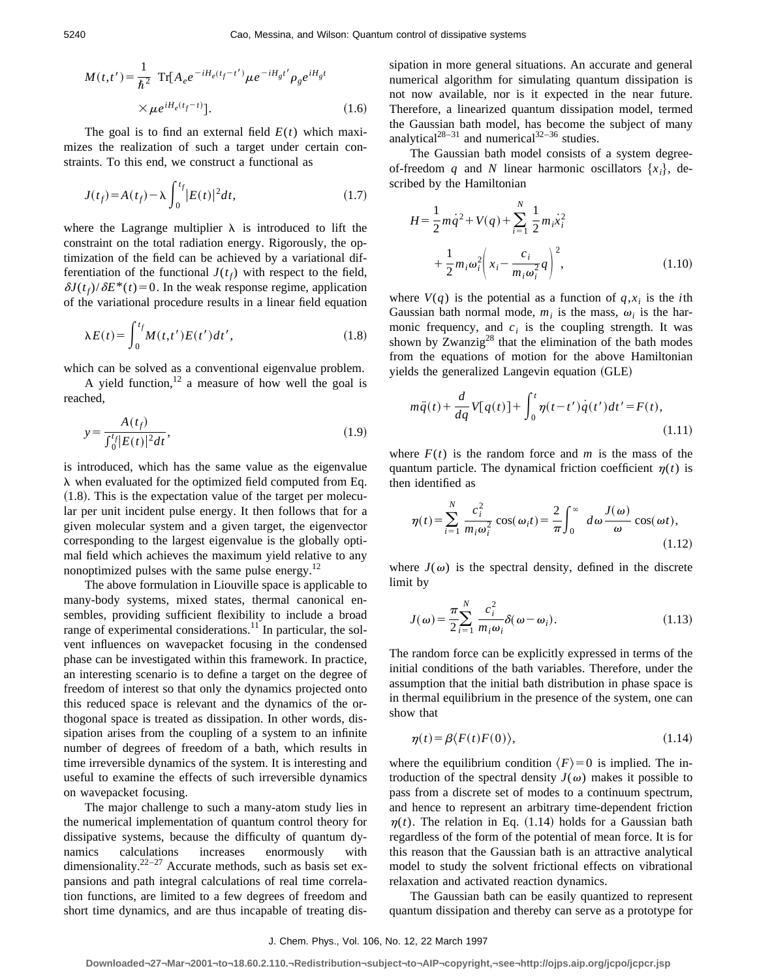$$
M(t,t') = \frac{1}{\hbar^2} \operatorname{Tr}[A_e e^{-iH_e(t_f - t')} \mu e^{-iH_g t'} \rho_g e^{iH_g t} \times \mu e^{iH_e(t_f - t)}].
$$
 (1.6)

The goal is to find an external field  $E(t)$  which maximizes the realization of such a target under certain constraints. To this end, we construct a functional as

$$
J(t_f) = A(t_f) - \lambda \int_0^{t_f} |E(t)|^2 dt,
$$
\n(1.7)

where the Lagrange multiplier  $\lambda$  is introduced to lift the constraint on the total radiation energy. Rigorously, the optimization of the field can be achieved by a variational differentiation of the functional  $J(t_f)$  with respect to the field,  $\delta J(t_f)/\delta E^*(t)$  = 0. In the weak response regime, application of the variational procedure results in a linear field equation

$$
\lambda E(t) = \int_0^{t_f} M(t, t') E(t') dt', \qquad (1.8)
$$

which can be solved as a conventional eigenvalue problem.

A yield function,  $12$  a measure of how well the goal is reached,

$$
y = \frac{A(t_f)}{\int_0^t |E(t)|^2 dt},
$$
\n(1.9)

is introduced, which has the same value as the eigenvalue  $\lambda$  when evaluated for the optimized field computed from Eq.  $(1.8)$ . This is the expectation value of the target per molecular per unit incident pulse energy. It then follows that for a given molecular system and a given target, the eigenvector corresponding to the largest eigenvalue is the globally optimal field which achieves the maximum yield relative to any nonoptimized pulses with the same pulse energy. $12$ 

The above formulation in Liouville space is applicable to many-body systems, mixed states, thermal canonical ensembles, providing sufficient flexibility to include a broad range of experimental considerations.<sup>11</sup> In particular, the solvent influences on wavepacket focusing in the condensed phase can be investigated within this framework. In practice, an interesting scenario is to define a target on the degree of freedom of interest so that only the dynamics projected onto this reduced space is relevant and the dynamics of the orthogonal space is treated as dissipation. In other words, dissipation arises from the coupling of a system to an infinite number of degrees of freedom of a bath, which results in time irreversible dynamics of the system. It is interesting and useful to examine the effects of such irreversible dynamics on wavepacket focusing.

The major challenge to such a many-atom study lies in the numerical implementation of quantum control theory for dissipative systems, because the difficulty of quantum dynamics calculations increases enormously with dimensionality.<sup>22–27</sup> Accurate methods, such as basis set expansions and path integral calculations of real time correlation functions, are limited to a few degrees of freedom and short time dynamics, and are thus incapable of treating dissipation in more general situations. An accurate and general numerical algorithm for simulating quantum dissipation is not now available, nor is it expected in the near future. Therefore, a linearized quantum dissipation model, termed the Gaussian bath model, has become the subject of many analytical<sup>28–31</sup> and numerical<sup>32–36</sup> studies.

The Gaussian bath model consists of a system degreeof-freedom *q* and *N* linear harmonic oscillators  $\{x_i\}$ , described by the Hamiltonian

$$
H = \frac{1}{2}m\dot{q}^{2} + V(q) + \sum_{i=1}^{N} \frac{1}{2}m_{i}\dot{x}_{i}^{2} + \frac{1}{2}m_{i}\omega_{i}^{2}\left(x_{i} - \frac{c_{i}}{m_{i}\omega_{i}^{2}}q\right)^{2},
$$
\n(1.10)

where  $V(q)$  is the potential as a function of  $q, x_i$  is the *i*th Gaussian bath normal mode,  $m_i$  is the mass,  $\omega_i$  is the harmonic frequency, and  $c_i$  is the coupling strength. It was shown by Zwanzig<sup>28</sup> that the elimination of the bath modes from the equations of motion for the above Hamiltonian yields the generalized Langevin equation (GLE)

$$
m\ddot{q}(t) + \frac{d}{dq}V[q(t)] + \int_0^t \eta(t-t')\dot{q}(t')dt' = F(t),
$$
\n(1.11)

where  $F(t)$  is the random force and *m* is the mass of the quantum particle. The dynamical friction coefficient  $\eta(t)$  is then identified as

$$
\eta(t) = \sum_{i=1}^{N} \frac{c_i^2}{m_i \omega_i^2} \cos(\omega_i t) = \frac{2}{\pi} \int_0^{\infty} d\omega \frac{J(\omega)}{\omega} \cos(\omega t),
$$
\n(1.12)

where  $J(\omega)$  is the spectral density, defined in the discrete limit by

$$
J(\omega) = \frac{\pi}{2} \sum_{i=1}^{N} \frac{c_i^2}{m_i \omega_i} \delta(\omega - \omega_i).
$$
 (1.13)

The random force can be explicitly expressed in terms of the initial conditions of the bath variables. Therefore, under the assumption that the initial bath distribution in phase space is in thermal equilibrium in the presence of the system, one can show that

$$
\eta(t) = \beta \langle F(t)F(0) \rangle, \tag{1.14}
$$

where the equilibrium condition  $\langle F \rangle = 0$  is implied. The introduction of the spectral density  $J(\omega)$  makes it possible to pass from a discrete set of modes to a continuum spectrum, and hence to represent an arbitrary time-dependent friction  $\eta(t)$ . The relation in Eq. (1.14) holds for a Gaussian bath regardless of the form of the potential of mean force. It is for this reason that the Gaussian bath is an attractive analytical model to study the solvent frictional effects on vibrational relaxation and activated reaction dynamics.

The Gaussian bath can be easily quantized to represent quantum dissipation and thereby can serve as a prototype for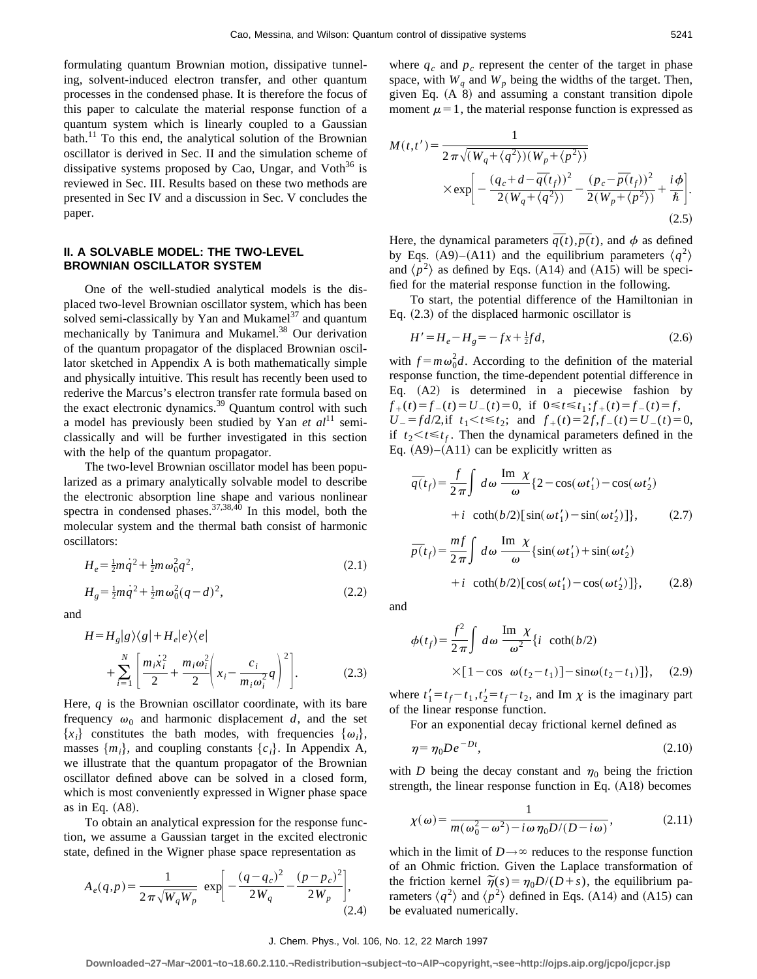formulating quantum Brownian motion, dissipative tunneling, solvent-induced electron transfer, and other quantum processes in the condensed phase. It is therefore the focus of this paper to calculate the material response function of a quantum system which is linearly coupled to a Gaussian bath.<sup>11</sup> To this end, the analytical solution of the Brownian oscillator is derived in Sec. II and the simulation scheme of dissipative systems proposed by Cao, Ungar, and Voth $36$  is reviewed in Sec. III. Results based on these two methods are presented in Sec IV and a discussion in Sec. V concludes the paper.

# **II. A SOLVABLE MODEL: THE TWO-LEVEL BROWNIAN OSCILLATOR SYSTEM**

One of the well-studied analytical models is the displaced two-level Brownian oscillator system, which has been solved semi-classically by Yan and Mukamel $37$  and quantum mechanically by Tanimura and Mukamel.<sup>38</sup> Our derivation of the quantum propagator of the displaced Brownian oscillator sketched in Appendix A is both mathematically simple and physically intuitive. This result has recently been used to rederive the Marcus's electron transfer rate formula based on the exact electronic dynamics.<sup>39</sup> Quantum control with such a model has previously been studied by Yan *et al*<sup>11</sup> semiclassically and will be further investigated in this section with the help of the quantum propagator.

The two-level Brownian oscillator model has been popularized as a primary analytically solvable model to describe the electronic absorption line shape and various nonlinear spectra in condensed phases.  $37,38,40$  In this model, both the molecular system and the thermal bath consist of harmonic oscillators:

$$
H_e = \frac{1}{2}m\dot{q}^2 + \frac{1}{2}m\omega_0^2 q^2, \tag{2.1}
$$

$$
H_g = \frac{1}{2}m\dot{q}^2 + \frac{1}{2}m\omega_0^2(q-d)^2,\tag{2.2}
$$

and

$$
H = H_g |g\rangle\langle g| + H_e |e\rangle\langle e|
$$
  
+ 
$$
\sum_{i=1}^N \left[ \frac{m_i \dot{x}_i^2}{2} + \frac{m_i \omega_i^2}{2} \left( x_i - \frac{c_i}{m_i \omega_i^2} q \right)^2 \right].
$$
 (2.3)

Here, *q* is the Brownian oscillator coordinate, with its bare frequency  $\omega_0$  and harmonic displacement *d*, and the set  ${x_i}$  constitutes the bath modes, with frequencies  ${\omega_i}$ , masses  $\{m_i\}$ , and coupling constants  $\{c_i\}$ . In Appendix A, we illustrate that the quantum propagator of the Brownian oscillator defined above can be solved in a closed form, which is most conveniently expressed in Wigner phase space as in Eq.  $(A8)$ .

To obtain an analytical expression for the response function, we assume a Gaussian target in the excited electronic state, defined in the Wigner phase space representation as

$$
A_e(q, p) = \frac{1}{2 \pi \sqrt{W_q W_p}} \exp \left[ -\frac{(q - q_c)^2}{2W_q} - \frac{(p - p_c)^2}{2W_p} \right],
$$
\n(2.4)

where  $q_c$  and  $p_c$  represent the center of the target in phase space, with  $W_q$  and  $W_p$  being the widths of the target. Then, given Eq.  $(A \ 8)$  and assuming a constant transition dipole moment  $\mu=1$ , the material response function is expressed as

$$
M(t,t') = \frac{1}{2\pi\sqrt{(W_q + \langle q^2 \rangle)(W_p + \langle p^2 \rangle)}}
$$
  
 
$$
\times \exp\left[-\frac{(q_c + d - \overline{q}(t_f))^2}{2(W_q + \langle q^2 \rangle)} - \frac{(p_c - \overline{p}(t_f))^2}{2(W_p + \langle p^2 \rangle)} + \frac{i\phi}{\hbar}\right].
$$
(2.5)

Here, the dynamical parameters  $\overline{q}(t)$ ,  $\overline{p}(t)$ , and  $\phi$  as defined by Eqs. (A9)–(A11) and the equilibrium parameters  $\langle q^2 \rangle$ and  $\langle p^2 \rangle$  as defined by Eqs. (A14) and (A15) will be specified for the material response function in the following.

To start, the potential difference of the Hamiltonian in Eq.  $(2.3)$  of the displaced harmonic oscillator is

$$
H' = H_e - H_g = -fx + \frac{1}{2}fd,
$$
\n(2.6)

with  $f = m\omega_0^2 d$ . According to the definition of the material response function, the time-dependent potential difference in Eq.  $(A2)$  is determined in a piecewise fashion by  $f_{+}(t) = f_{-}(t) = U_{-}(t) = 0$ , if  $0 \le t \le t_1$ ;  $f_{+}(t) = f_{-}(t) = f$ , *U*<sub>-</sub> =  $fd/2$ , if  $t_1 < t \le t_2$ ; and  $f_+(t) = 2f$ ,  $f_-(t) = U_-(t) = 0$ , if  $t_2 < t \leq t_f$ . Then the dynamical parameters defined in the Eq.  $(A9)$ – $(A11)$  can be explicitly written as

$$
\overline{q}(t_f) = \frac{f}{2\pi} \int d\omega \frac{\text{Im } \chi}{\omega} \{2 - \cos(\omega t_1') - \cos(\omega t_2')\}
$$
  
+  $i \coth(b/2) [\sin(\omega t_1') - \sin(\omega t_2')] \},$  (2.7)

$$
\overline{p}(t_f) = \frac{mf}{2\pi} \int d\omega \frac{\text{Im }\chi}{\omega} \{ \sin(\omega t_1') + \sin(\omega t_2') + i \coth(b/2) [\cos(\omega t_1') - \cos(\omega t_2')] \}, \qquad (2.8)
$$

and

$$
\phi(t_f) = \frac{f^2}{2\pi} \int d\omega \frac{\text{Im }\chi}{\omega^2} \{i \coth(b/2) \times [1 - \cos \omega(t_2 - t_1)] - \sin \omega(t_2 - t_1)]\}, \quad (2.9)
$$

where  $t'_1 = t_f - t_1, t'_2 = t_f - t_2$ , and Im  $\chi$  is the imaginary part of the linear response function.

For an exponential decay frictional kernel defined as

$$
\eta = \eta_0 D e^{-Dt},\tag{2.10}
$$

with *D* being the decay constant and  $\eta_0$  being the friction strength, the linear response function in Eq.  $(A18)$  becomes

$$
\chi(\omega) = \frac{1}{m(\omega_0^2 - \omega^2) - i\omega \eta_0 D/(D - i\omega)},
$$
\n(2.11)

which in the limit of  $D \rightarrow \infty$  reduces to the response function of an Ohmic friction. Given the Laplace transformation of of an Online friction. Given the Laplace transformation of<br>the friction kernel  $\tilde{\eta}(s) = \eta_0 D/(D+s)$ , the equilibrium parameters  $\langle q^2 \rangle$  and  $\langle p^2 \rangle$  defined in Eqs. (A14) and (A15) can be evaluated numerically.

#### J. Chem. Phys., Vol. 106, No. 12, 22 March 1997

**Downloaded¬27¬Mar¬2001¬to¬18.60.2.110.¬Redistribution¬subject¬to¬AIP¬copyright,¬see¬http://ojps.aip.org/jcpo/jcpcr.jsp**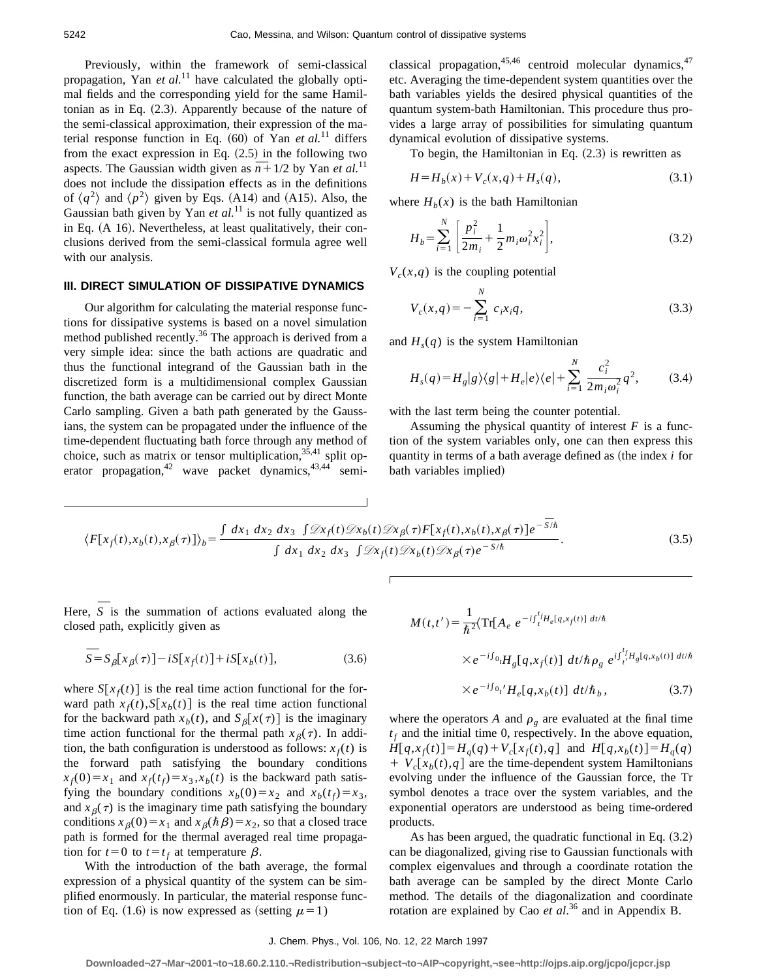Previously, within the framework of semi-classical propagation, Yan *et al.*<sup>11</sup> have calculated the globally optimal fields and the corresponding yield for the same Hamiltonian as in Eq.  $(2.3)$ . Apparently because of the nature of the semi-classical approximation, their expression of the material response function in Eq.  $(60)$  of Yan *et al.*<sup>11</sup> differs from the exact expression in Eq.  $(2.5)$  in the following two from the exact expression in Eq. (2.5) in the following two aspects. The Gaussian width given as  $\overline{n} + 1/2$  by Yan *et al.*<sup>11</sup> does not include the dissipation effects as in the definitions of  $\langle q^2 \rangle$  and  $\langle p^2 \rangle$  given by Eqs. (A14) and (A15). Also, the Gaussian bath given by Yan  $et$   $al$ <sup>11</sup> is not fully quantized as in Eq.  $(A 16)$ . Nevertheless, at least qualitatively, their conclusions derived from the semi-classical formula agree well with our analysis.

### **III. DIRECT SIMULATION OF DISSIPATIVE DYNAMICS**

Our algorithm for calculating the material response functions for dissipative systems is based on a novel simulation method published recently.<sup>36</sup> The approach is derived from a very simple idea: since the bath actions are quadratic and thus the functional integrand of the Gaussian bath in the discretized form is a multidimensional complex Gaussian function, the bath average can be carried out by direct Monte Carlo sampling. Given a bath path generated by the Gaussians, the system can be propagated under the influence of the time-dependent fluctuating bath force through any method of choice, such as matrix or tensor multiplication,  $35,41$  split operator propagation,<sup>42</sup> wave packet dynamics,<sup>43,44</sup> semiclassical propagation,  $45,46$  centroid molecular dynamics,  $47$ etc. Averaging the time-dependent system quantities over the bath variables yields the desired physical quantities of the quantum system-bath Hamiltonian. This procedure thus provides a large array of possibilities for simulating quantum dynamical evolution of dissipative systems.

To begin, the Hamiltonian in Eq.  $(2.3)$  is rewritten as

$$
H = H_b(x) + V_c(x, q) + H_s(q),
$$
\n(3.1)

where  $H<sub>b</sub>(x)$  is the bath Hamiltonian

$$
H_b = \sum_{i=1}^{N} \left[ \frac{p_i^2}{2m_i} + \frac{1}{2} m_i \omega_i^2 x_i^2 \right],
$$
 (3.2)

 $V_c(x,q)$  is the coupling potential

$$
V_c(x,q) = -\sum_{i=1}^{N} c_i x_i q,
$$
\n(3.3)

and  $H<sub>s</sub>(q)$  is the system Hamiltonian

$$
H_s(q) = H_g|g\rangle\langle g| + H_e|e\rangle\langle e| + \sum_{i=1}^{N} \frac{c_i^2}{2m_i\omega_i^2}q^2,
$$
 (3.4)

with the last term being the counter potential.

Assuming the physical quantity of interest  $F$  is a function of the system variables only, one can then express this quantity in terms of a bath average defined as (the index *i* for bath variables implied)

$$
\langle F[x_f(t), x_b(t), x_\beta(\tau)]\rangle_b = \frac{\int dx_1 dx_2 dx_3 \int \mathcal{D}x_f(t) \mathcal{D}x_b(t) \mathcal{D}x_\beta(\tau) F[x_f(t), x_b(t), x_\beta(\tau)] e^{-\overline{S}/\hbar}}{\int dx_1 dx_2 dx_3 \int \mathcal{D}x_f(t) \mathcal{D}x_b(t) \mathcal{D}x_\beta(\tau) e^{-\overline{S}/\hbar}}.
$$
(3.5)

Here,  $\overline{S}$  is the summation of actions evaluated along the closed path, explicitly given as

$$
\overline{S} = S_{\beta}[x_{\beta}(\tau)] - iS[x_{f}(t)] + iS[x_{b}(t)],
$$
\n(3.6)

where  $S[x_f(t)]$  is the real time action functional for the forward path  $x_f(t)$ ,  $S[x_b(t)]$  is the real time action functional for the backward path  $x_b(t)$ , and  $S_\beta[x(\tau)]$  is the imaginary time action functional for the thermal path  $x_{\beta}(\tau)$ . In addition, the bath configuration is understood as follows:  $x_f(t)$  is the forward path satisfying the boundary conditions  $x_f(0) = x_1$  and  $x_f(t_f) = x_3, x_b(t)$  is the backward path satisfying the boundary conditions  $x_b(0) = x_2$  and  $x_b(t_f) = x_3$ , and  $x_{\beta}(\tau)$  is the imaginary time path satisfying the boundary conditions  $x_{\beta}(0) = x_1$  and  $x_{\beta}(\hbar\beta) = x_2$ , so that a closed trace path is formed for the thermal averaged real time propagation for  $t=0$  to  $t=t_f$  at temperature  $\beta$ .

With the introduction of the bath average, the formal expression of a physical quantity of the system can be simplified enormously. In particular, the material response function of Eq. (1.6) is now expressed as (setting  $\mu=1$ )

$$
M(t,t') = \frac{1}{\hbar^2} \langle \text{Tr}[A_e \ e^{-i \int_t^t H_e[q, x_f(t)] \ dt/\hbar} \times e^{-i \int_0^t q} H_g[q, x_f(t)] \ dt/\hbar \rho_g \ e^{i \int_{t'}^{t} H_g[q, x_b(t)] \ dt/\hbar}
$$

$$
\times e^{-i\int_{0}t} H_e[q, x_b(t)] \ dt/\hbar_b, \qquad (3.7)
$$

where the operators *A* and  $\rho_g$  are evaluated at the final time  $t_f$  and the initial time 0, respectively. In the above equation,  $H[q, x_f(t)] = H_q(q) + V_c[x_f(t), q]$  and  $H[q, x_b(t)] = H_q(q)$  $+ V_c[x_b(t), q]$  are the time-dependent system Hamiltonians evolving under the influence of the Gaussian force, the Tr symbol denotes a trace over the system variables, and the exponential operators are understood as being time-ordered products.

As has been argued, the quadratic functional in Eq.  $(3.2)$ can be diagonalized, giving rise to Gaussian functionals with complex eigenvalues and through a coordinate rotation the bath average can be sampled by the direct Monte Carlo method. The details of the diagonalization and coordinate rotation are explained by Cao *et al*. <sup>36</sup> and in Appendix B.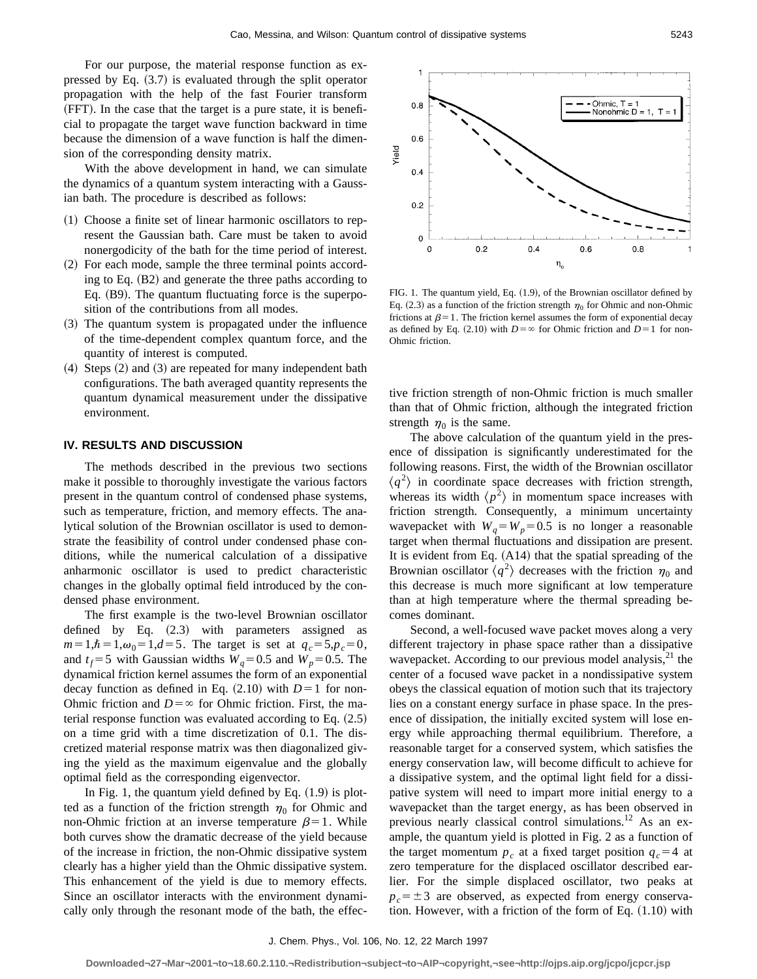For our purpose, the material response function as expressed by Eq.  $(3.7)$  is evaluated through the split operator propagation with the help of the fast Fourier transform  $(FFT)$ . In the case that the target is a pure state, it is beneficial to propagate the target wave function backward in time because the dimension of a wave function is half the dimension of the corresponding density matrix.

With the above development in hand, we can simulate the dynamics of a quantum system interacting with a Gaussian bath. The procedure is described as follows:

- $(1)$  Choose a finite set of linear harmonic oscillators to represent the Gaussian bath. Care must be taken to avoid nonergodicity of the bath for the time period of interest.
- $(2)$  For each mode, sample the three terminal points according to Eq.  $(B2)$  and generate the three paths according to Eq.  $(B9)$ . The quantum fluctuating force is the superposition of the contributions from all modes.
- $(3)$  The quantum system is propagated under the influence of the time-dependent complex quantum force, and the quantity of interest is computed.
- $(4)$  Steps  $(2)$  and  $(3)$  are repeated for many independent bath configurations. The bath averaged quantity represents the quantum dynamical measurement under the dissipative environment.

### **IV. RESULTS AND DISCUSSION**

The methods described in the previous two sections make it possible to thoroughly investigate the various factors present in the quantum control of condensed phase systems, such as temperature, friction, and memory effects. The analytical solution of the Brownian oscillator is used to demonstrate the feasibility of control under condensed phase conditions, while the numerical calculation of a dissipative anharmonic oscillator is used to predict characteristic changes in the globally optimal field introduced by the condensed phase environment.

The first example is the two-level Brownian oscillator defined by Eq.  $(2.3)$  with parameters assigned as  $m=1,\hbar=1,\omega_0=1,d=5$ . The target is set at  $q_c=5, p_c=0$ , and  $t_f$ =5 with Gaussian widths  $W_q$ =0.5 and  $W_p$ =0.5. The dynamical friction kernel assumes the form of an exponential decay function as defined in Eq.  $(2.10)$  with  $D=1$  for non-Ohmic friction and  $D = \infty$  for Ohmic friction. First, the material response function was evaluated according to Eq.  $(2.5)$ on a time grid with a time discretization of 0.1. The discretized material response matrix was then diagonalized giving the yield as the maximum eigenvalue and the globally optimal field as the corresponding eigenvector.

In Fig. 1, the quantum yield defined by Eq.  $(1.9)$  is plotted as a function of the friction strength  $\eta_0$  for Ohmic and non-Ohmic friction at an inverse temperature  $\beta = 1$ . While both curves show the dramatic decrease of the yield because of the increase in friction, the non-Ohmic dissipative system clearly has a higher yield than the Ohmic dissipative system. This enhancement of the yield is due to memory effects. Since an oscillator interacts with the environment dynamically only through the resonant mode of the bath, the effec-



FIG. 1. The quantum yield, Eq. (1.9), of the Brownian oscillator defined by Eq. (2.3) as a function of the friction strength  $\eta_0$  for Ohmic and non-Ohmic frictions at  $\beta=1$ . The friction kernel assumes the form of exponential decay as defined by Eq. (2.10) with  $D = \infty$  for Ohmic friction and  $D = 1$  for non-Ohmic friction.

tive friction strength of non-Ohmic friction is much smaller than that of Ohmic friction, although the integrated friction strength  $\eta_0$  is the same.

The above calculation of the quantum yield in the presence of dissipation is significantly underestimated for the following reasons. First, the width of the Brownian oscillator  $\langle q^2 \rangle$  in coordinate space decreases with friction strength, whereas its width  $\langle p^2 \rangle$  in momentum space increases with friction strength. Consequently, a minimum uncertainty wavepacket with  $W_q = W_p = 0.5$  is no longer a reasonable target when thermal fluctuations and dissipation are present. It is evident from Eq.  $(A14)$  that the spatial spreading of the Brownian oscillator  $\langle q^2 \rangle$  decreases with the friction  $\eta_0$  and this decrease is much more significant at low temperature than at high temperature where the thermal spreading becomes dominant.

Second, a well-focused wave packet moves along a very different trajectory in phase space rather than a dissipative wavepacket. According to our previous model analysis, $21$  the center of a focused wave packet in a nondissipative system obeys the classical equation of motion such that its trajectory lies on a constant energy surface in phase space. In the presence of dissipation, the initially excited system will lose energy while approaching thermal equilibrium. Therefore, a reasonable target for a conserved system, which satisfies the energy conservation law, will become difficult to achieve for a dissipative system, and the optimal light field for a dissipative system will need to impart more initial energy to a wavepacket than the target energy, as has been observed in previous nearly classical control simulations.<sup>12</sup> As an example, the quantum yield is plotted in Fig. 2 as a function of the target momentum  $p_c$  at a fixed target position  $q_c = 4$  at zero temperature for the displaced oscillator described earlier. For the simple displaced oscillator, two peaks at  $p_c = \pm 3$  are observed, as expected from energy conservation. However, with a friction of the form of Eq.  $(1.10)$  with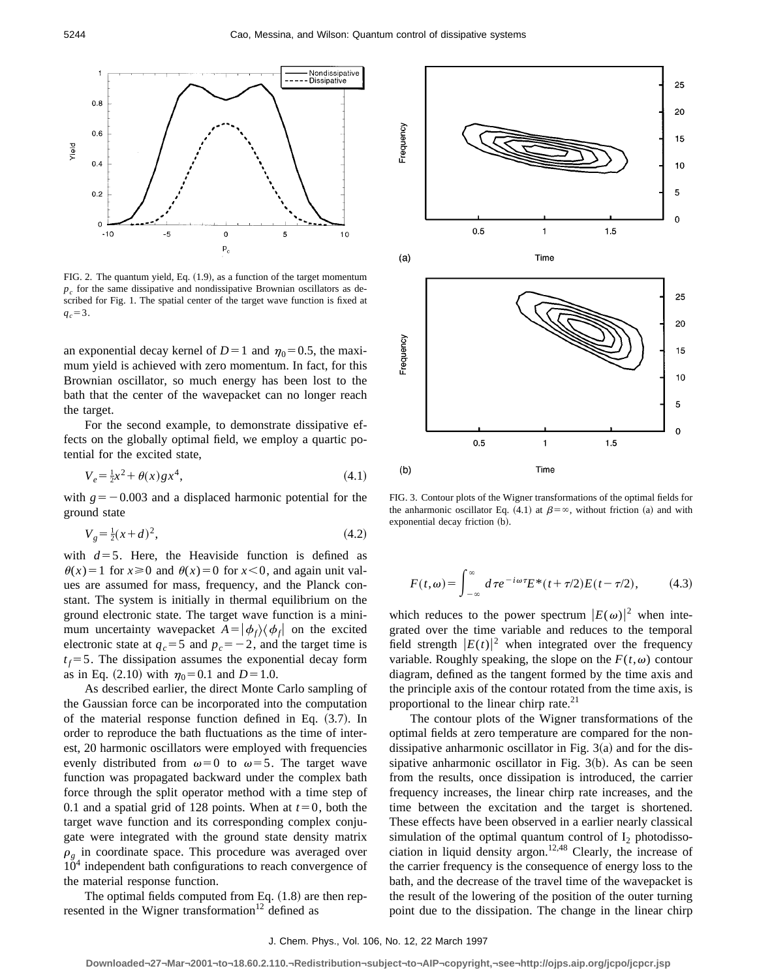

FIG. 2. The quantum yield, Eq.  $(1.9)$ , as a function of the target momentum  $p_c$  for the same dissipative and nondissipative Brownian oscillators as described for Fig. 1. The spatial center of the target wave function is fixed at  $q_c = 3$ .

an exponential decay kernel of  $D=1$  and  $\eta_0=0.5$ , the maximum yield is achieved with zero momentum. In fact, for this Brownian oscillator, so much energy has been lost to the bath that the center of the wavepacket can no longer reach the target.

For the second example, to demonstrate dissipative effects on the globally optimal field, we employ a quartic potential for the excited state,

$$
V_e = \frac{1}{2}x^2 + \theta(x)gx^4,\tag{4.1}
$$

with  $g = -0.003$  and a displaced harmonic potential for the ground state

$$
V_g = \frac{1}{2}(x+d)^2,\tag{4.2}
$$

with  $d=5$ . Here, the Heaviside function is defined as  $\theta(x) = 1$  for  $x \ge 0$  and  $\theta(x) = 0$  for  $x \le 0$ , and again unit values are assumed for mass, frequency, and the Planck constant. The system is initially in thermal equilibrium on the ground electronic state. The target wave function is a minimum uncertainty wavepacket  $A = \phi_f / \phi_f$  on the excited electronic state at  $q_c = 5$  and  $p_c = -2$ , and the target time is  $t_f$ =5. The dissipation assumes the exponential decay form as in Eq. (2.10) with  $\eta_0 = 0.1$  and  $D = 1.0$ .

As described earlier, the direct Monte Carlo sampling of the Gaussian force can be incorporated into the computation of the material response function defined in Eq.  $(3.7)$ . In order to reproduce the bath fluctuations as the time of interest, 20 harmonic oscillators were employed with frequencies evenly distributed from  $\omega=0$  to  $\omega=5$ . The target wave function was propagated backward under the complex bath force through the split operator method with a time step of 0.1 and a spatial grid of 128 points. When at  $t=0$ , both the target wave function and its corresponding complex conjugate were integrated with the ground state density matrix  $\rho<sub>g</sub>$  in coordinate space. This procedure was averaged over  $10<sup>4</sup>$  independent bath configurations to reach convergence of the material response function.

The optimal fields computed from Eq.  $(1.8)$  are then represented in the Wigner transformation $12$  defined as



FIG. 3. Contour plots of the Wigner transformations of the optimal fields for the anharmonic oscillator Eq. (4.1) at  $\beta = \infty$ , without friction (a) and with exponential decay friction (b).

$$
F(t,\omega) = \int_{-\infty}^{\infty} d\tau e^{-i\omega\tau} E^*(t+\tau/2) E(t-\tau/2), \quad (4.3)
$$

which reduces to the power spectrum  $|E(\omega)|^2$  when integrated over the time variable and reduces to the temporal field strength  $|E(t)|^2$  when integrated over the frequency variable. Roughly speaking, the slope on the  $F(t, \omega)$  contour diagram, defined as the tangent formed by the time axis and the principle axis of the contour rotated from the time axis, is proportional to the linear chirp rate.<sup>21</sup>

The contour plots of the Wigner transformations of the optimal fields at zero temperature are compared for the nondissipative anharmonic oscillator in Fig.  $3(a)$  and for the dissipative anharmonic oscillator in Fig.  $3(b)$ . As can be seen from the results, once dissipation is introduced, the carrier frequency increases, the linear chirp rate increases, and the time between the excitation and the target is shortened. These effects have been observed in a earlier nearly classical simulation of the optimal quantum control of  $I_2$  photodissociation in liquid density argon.<sup>12,48</sup> Clearly, the increase of the carrier frequency is the consequence of energy loss to the bath, and the decrease of the travel time of the wavepacket is the result of the lowering of the position of the outer turning point due to the dissipation. The change in the linear chirp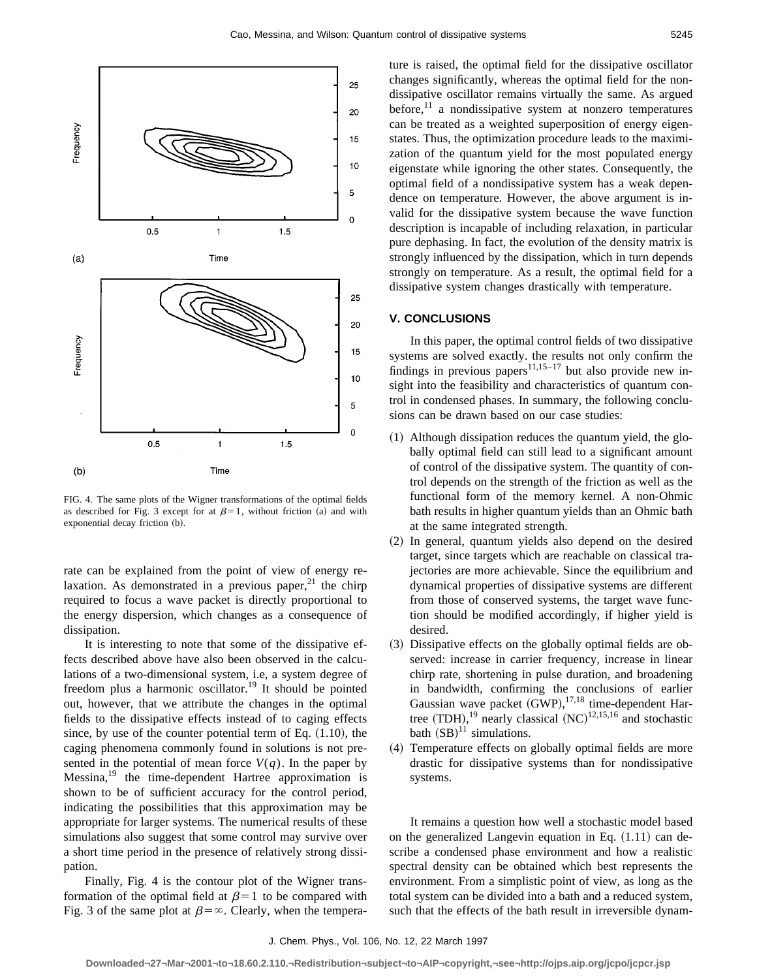

FIG. 4. The same plots of the Wigner transformations of the optimal fields as described for Fig. 3 except for at  $\beta=1$ , without friction (a) and with exponential decay friction (b).

rate can be explained from the point of view of energy relaxation. As demonstrated in a previous paper, $2<sup>1</sup>$  the chirp required to focus a wave packet is directly proportional to the energy dispersion, which changes as a consequence of dissipation.

It is interesting to note that some of the dissipative effects described above have also been observed in the calculations of a two-dimensional system, i.e, a system degree of freedom plus a harmonic oscillator.<sup>19</sup> It should be pointed out, however, that we attribute the changes in the optimal fields to the dissipative effects instead of to caging effects since, by use of the counter potential term of Eq.  $(1.10)$ , the caging phenomena commonly found in solutions is not presented in the potential of mean force  $V(q)$ . In the paper by  $Messina<sup>19</sup>$  the time-dependent Hartree approximation is shown to be of sufficient accuracy for the control period, indicating the possibilities that this approximation may be appropriate for larger systems. The numerical results of these simulations also suggest that some control may survive over a short time period in the presence of relatively strong dissipation.

Finally, Fig. 4 is the contour plot of the Wigner transformation of the optimal field at  $\beta=1$  to be compared with Fig. 3 of the same plot at  $\beta = \infty$ . Clearly, when the temperature is raised, the optimal field for the dissipative oscillator changes significantly, whereas the optimal field for the nondissipative oscillator remains virtually the same. As argued before, $11$  a nondissipative system at nonzero temperatures can be treated as a weighted superposition of energy eigenstates. Thus, the optimization procedure leads to the maximization of the quantum yield for the most populated energy eigenstate while ignoring the other states. Consequently, the optimal field of a nondissipative system has a weak dependence on temperature. However, the above argument is invalid for the dissipative system because the wave function description is incapable of including relaxation, in particular pure dephasing. In fact, the evolution of the density matrix is strongly influenced by the dissipation, which in turn depends strongly on temperature. As a result, the optimal field for a dissipative system changes drastically with temperature.

#### **V. CONCLUSIONS**

In this paper, the optimal control fields of two dissipative systems are solved exactly. the results not only confirm the findings in previous papers $11,15-17$  but also provide new insight into the feasibility and characteristics of quantum control in condensed phases. In summary, the following conclusions can be drawn based on our case studies:

- $(1)$  Although dissipation reduces the quantum yield, the globally optimal field can still lead to a significant amount of control of the dissipative system. The quantity of control depends on the strength of the friction as well as the functional form of the memory kernel. A non-Ohmic bath results in higher quantum yields than an Ohmic bath at the same integrated strength.
- (2) In general, quantum yields also depend on the desired target, since targets which are reachable on classical trajectories are more achievable. Since the equilibrium and dynamical properties of dissipative systems are different from those of conserved systems, the target wave function should be modified accordingly, if higher yield is desired.
- (3) Dissipative effects on the globally optimal fields are observed: increase in carrier frequency, increase in linear chirp rate, shortening in pulse duration, and broadening in bandwidth, confirming the conclusions of earlier Gaussian wave packet  $(GWP)$ ,  $^{17,18}$  time-dependent Hartree  $(TDH)$ ,<sup>19</sup> nearly classical  $(NC)$ <sup>12,15,16</sup> and stochastic bath  $(SB)^{11}$  simulations.
- ~4! Temperature effects on globally optimal fields are more drastic for dissipative systems than for nondissipative systems.

It remains a question how well a stochastic model based on the generalized Langevin equation in Eq.  $(1.11)$  can describe a condensed phase environment and how a realistic spectral density can be obtained which best represents the environment. From a simplistic point of view, as long as the total system can be divided into a bath and a reduced system, such that the effects of the bath result in irreversible dynam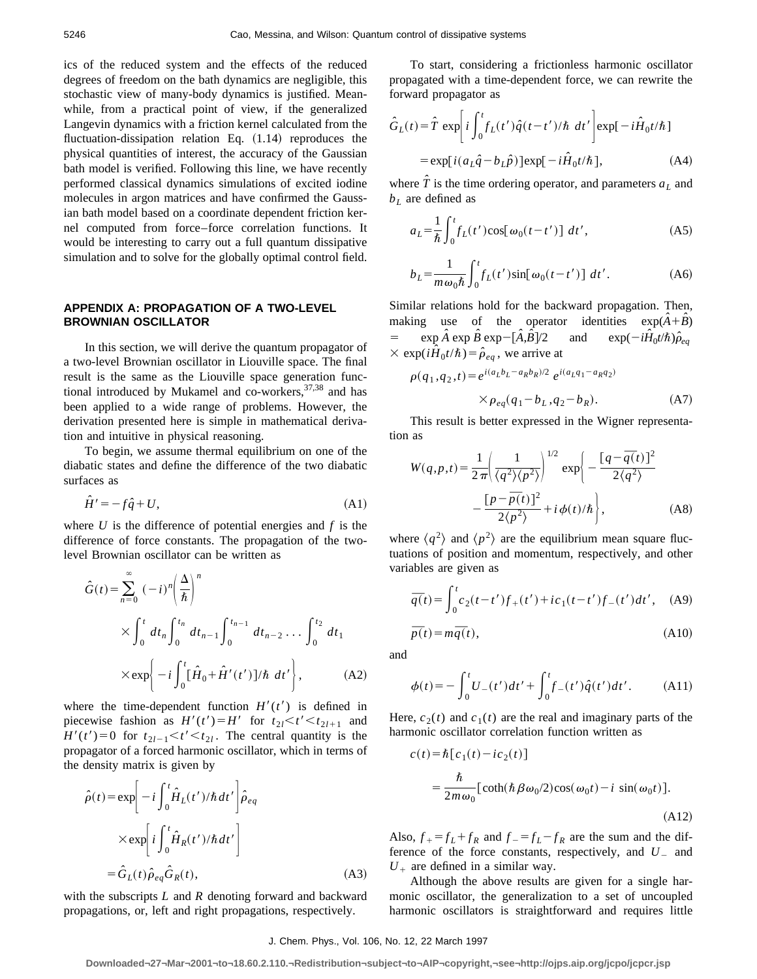ics of the reduced system and the effects of the reduced degrees of freedom on the bath dynamics are negligible, this stochastic view of many-body dynamics is justified. Meanwhile, from a practical point of view, if the generalized Langevin dynamics with a friction kernel calculated from the fluctuation-dissipation relation Eq.  $(1.14)$  reproduces the physical quantities of interest, the accuracy of the Gaussian bath model is verified. Following this line, we have recently performed classical dynamics simulations of excited iodine molecules in argon matrices and have confirmed the Gaussian bath model based on a coordinate dependent friction kernel computed from force–force correlation functions. It would be interesting to carry out a full quantum dissipative simulation and to solve for the globally optimal control field.

# **APPENDIX A: PROPAGATION OF A TWO-LEVEL BROWNIAN OSCILLATOR**

In this section, we will derive the quantum propagator of a two-level Brownian oscillator in Liouville space. The final result is the same as the Liouville space generation functional introduced by Mukamel and co-workers,  $37,38$  and has been applied to a wide range of problems. However, the derivation presented here is simple in mathematical derivation and intuitive in physical reasoning.

To begin, we assume thermal equilibrium on one of the diabatic states and define the difference of the two diabatic surfaces as

$$
\hat{H}' = -f\hat{q} + U,\tag{A1}
$$

where  $U$  is the difference of potential energies and  $f$  is the difference of force constants. The propagation of the twolevel Brownian oscillator can be written as

$$
\hat{G}(t) = \sum_{n=0}^{\infty} (-i)^n \left(\frac{\Delta}{\hbar}\right)^n
$$
  
 
$$
\times \int_0^t dt_n \int_0^{t_n} dt_{n-1} \int_0^{t_{n-1}} dt_{n-2} \dots \int_0^{t_2} dt_1
$$
  
 
$$
\times \exp\left(-i \int_0^t [\hat{H}_0 + \hat{H}'(t')] / \hbar dt'\right), \qquad (A2)
$$

where the time-dependent function  $H'(t')$  is defined in piecewise fashion as  $H'(t') = H'$  for  $t_{2l} < t' < t_{2l+1}$  and  $H'(t')=0$  for  $t_{2l-1} < t' < t_{2l}$ . The central quantity is the propagator of a forced harmonic oscillator, which in terms of the density matrix is given by

$$
\hat{\rho}(t) = \exp\left[-i\int_0^t \hat{H}_L(t')/\hbar dt'\right]\hat{\rho}_{eq}
$$

$$
\times \exp\left[i\int_0^t \hat{H}_R(t')/\hbar dt'\right]
$$

$$
= \hat{G}_L(t)\hat{\rho}_{eq}\hat{G}_R(t),
$$
(A3)

with the subscripts *L* and *R* denoting forward and backward propagations, or, left and right propagations, respectively.

To start, considering a frictionless harmonic oscillator propagated with a time-dependent force, we can rewrite the forward propagator as

$$
\hat{G}_L(t) = \hat{T} \exp\left[i \int_0^t f_L(t') \hat{q}(t - t')/\hbar \ dt'\right] \exp[-i\hat{H}_0 t/\hbar]
$$

$$
= \exp[i(a_L \hat{q} - b_L \hat{p})] \exp[-i\hat{H}_0 t/\hbar], \tag{A4}
$$

where  $\hat{T}$  is the time ordering operator, and parameters  $a_L$  and  $b<sub>L</sub>$  are defined as

$$
a_L = \frac{1}{\hbar} \int_0^t f_L(t') \cos[\omega_0(t - t')] dt', \qquad (A5)
$$

$$
b_L = \frac{1}{m\omega_0 \hbar} \int_0^t f_L(t') \sin[\omega_0(t - t')] dt'.
$$
 (A6)

Similar relations hold for the backward propagation. Then, making use of the operator identities  $exp(\hat{A} + \hat{B})$  $=$  exp  $\hat{A}$  exp  $\hat{B}$  exp  $- [\hat{A}, \hat{B}]$  $\hat{B}$ <sup>7</sup>/2 and  $\exp(-i\hat{H}_0 t/\hbar)\hat{\rho}_{eq}$  $\times$  exp( $i\hat{H}_0 t/\hbar$ ) =  $\hat{\rho}_{ea}$ , we arrive at

$$
\rho(q_1, q_2, t) = e^{i(a_L b_L - a_R b_R)/2} e^{i(a_L q_1 - a_R q_2)}
$$
  
 
$$
\times \rho_{eq}(q_1 - b_L, q_2 - b_R). \tag{A7}
$$

This result is better expressed in the Wigner representation as

$$
W(q,p,t) = \frac{1}{2\pi} \left( \frac{1}{\langle q^2 \rangle \langle p^2 \rangle} \right)^{1/2} \exp \left( -\frac{[q - \overline{q}(t)]^2}{2\langle q^2 \rangle} -\frac{[p - \overline{p}(t)]^2}{2\langle p^2 \rangle} + i\phi(t)/\hbar \right), \tag{A8}
$$

where  $\langle q^2 \rangle$  and  $\langle p^2 \rangle$  are the equilibrium mean square fluctuations of position and momentum, respectively, and other variables are given as

$$
\overline{q}(t) = \int_0^t c_2(t - t') f_+(t') + ic_1(t - t') f_-(t') dt', \quad \text{(A9)}
$$

$$
\overline{p}(t) = m\overline{q}(t),\tag{A10}
$$

and

$$
\phi(t) = -\int_0^t U_-(t')dt' + \int_0^t f_-(t')\hat{q}(t')dt'.
$$
 (A11)

Here,  $c_2(t)$  and  $c_1(t)$  are the real and imaginary parts of the harmonic oscillator correlation function written as

$$
c(t) = \hbar [c_1(t) - ic_2(t)]
$$
  
= 
$$
\frac{\hbar}{2m\omega_0} [\coth(\hbar \beta \omega_0/2) \cos(\omega_0 t) - i \sin(\omega_0 t)].
$$
  
(A12)

Also,  $f_{+} = f_{L} + f_{R}$  and  $f_{-} = f_{L} - f_{R}$  are the sum and the difference of the force constants, respectively, and  $U_{-}$  and  $U_{+}$  are defined in a similar way.

Although the above results are given for a single harmonic oscillator, the generalization to a set of uncoupled harmonic oscillators is straightforward and requires little

# J. Chem. Phys., Vol. 106, No. 12, 22 March 1997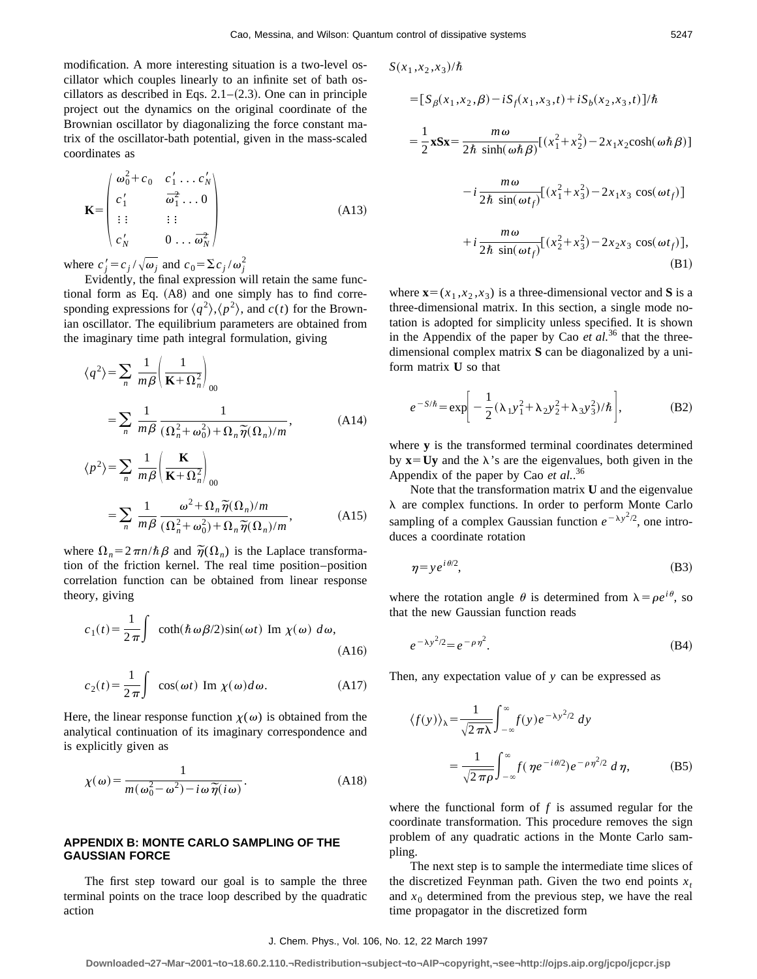$S(x_1, x_2, x_3)/\hbar$ 

modification. A more interesting situation is a two-level oscillator which couples linearly to an infinite set of bath oscillators as described in Eqs.  $2.1-(2.3)$ . One can in principle project out the dynamics on the original coordinate of the Brownian oscillator by diagonalizing the force constant matrix of the oscillator-bath potential, given in the mass-scaled coordinates as

$$
\mathbf{K} = \begin{pmatrix} \omega_0^2 + c_0 & c_1' \dots c_N' \\ c_1' & \overline{\omega}_1^2 \dots 0 \\ \vdots & \vdots & \vdots \\ c_N' & 0 \dots \overline{\omega}_N^2 \end{pmatrix}
$$
(A13)

where  $c'_j = c_j / \sqrt{\omega_j}$  and  $c_0 = \sum c_j / \omega_j^2$ 

Evidently, the final expression will retain the same functional form as Eq.  $(A8)$  and one simply has to find corresponding expressions for  $\langle q^2 \rangle$ , $\langle p^2 \rangle$ , and  $c(t)$  for the Brownian oscillator. The equilibrium parameters are obtained from the imaginary time path integral formulation, giving

$$
\langle q^2 \rangle = \sum_n \frac{1}{m\beta} \left( \frac{1}{\mathbf{K} + \Omega_n^2} \right)_{00}
$$
  
= 
$$
\sum_n \frac{1}{m\beta} \frac{1}{(\Omega_n^2 + \omega_0^2) + \Omega_n \tilde{\eta}(\Omega_n)/m},
$$
 (A14)

$$
\langle p^2 \rangle = \sum_n \frac{1}{m\beta} \left( \frac{\mathbf{K}}{\mathbf{K} + \Omega_n^2} \right)_{00}
$$
  
= 
$$
\sum_n \frac{1}{m\beta} \frac{\omega^2 + \Omega_n \tilde{\eta}(\Omega_n)/m}{(\Omega_n^2 + \omega_0^2) + \Omega_n \tilde{\eta}(\Omega_n)/m},
$$
 (A15)

where  $\Omega_n = 2 \pi n/\hbar \beta$  and  $\tilde{\eta}(\Omega_n)$  is the Laplace transformation of the friction kernel. The real time position–position correlation function can be obtained from linear response theory, giving

$$
c_1(t) = \frac{1}{2\pi} \int \coth(\hbar \omega \beta/2) \sin(\omega t) \text{ Im } \chi(\omega) d\omega,
$$
\n(A16)

$$
c_2(t) = \frac{1}{2\pi} \int \cos(\omega t) \operatorname{Im} \chi(\omega) d\omega.
$$
 (A17)

Here, the linear response function  $\chi(\omega)$  is obtained from the analytical continuation of its imaginary correspondence and is explicitly given as

$$
\chi(\omega) = \frac{1}{m(\omega_0^2 - \omega^2) - i\omega \, \widetilde{\eta}(i\omega)}.
$$
\n(A18)

# **APPENDIX B: MONTE CARLO SAMPLING OF THE GAUSSIAN FORCE**

The first step toward our goal is to sample the three terminal points on the trace loop described by the quadratic action

$$
= [S_{\beta}(x_1, x_2, \beta) - iS_f(x_1, x_3, t) + iS_b(x_2, x_3, t)]/\hbar
$$
  
\n
$$
= \frac{1}{2} \mathbf{x} S \mathbf{x} = \frac{m \omega}{2 \hbar \sinh(\omega \hbar \beta)} [(x_1^2 + x_2^2) - 2x_1 x_2 \cosh(\omega \hbar \beta)]
$$
  
\n
$$
- i \frac{m \omega}{2 \hbar \sin(\omega t_f)} [(x_1^2 + x_3^2) - 2x_1 x_3 \cos(\omega t_f)]
$$
  
\n
$$
+ i \frac{m \omega}{2 \hbar \sin(\omega t_f)} [(x_2^2 + x_3^2) - 2x_2 x_3 \cos(\omega t_f)],
$$
\n(B1)

where  $\mathbf{x}=(x_1, x_2, x_3)$  is a three-dimensional vector and **S** is a three-dimensional matrix. In this section, a single mode notation is adopted for simplicity unless specified. It is shown in the Appendix of the paper by Cao  $et al.<sup>36</sup>$  that the threedimensional complex matrix **S** can be diagonalized by a uniform matrix **U** so that

$$
e^{-S/\hbar} = \exp\bigg[-\frac{1}{2}(\lambda_1 y_1^2 + \lambda_2 y_2^2 + \lambda_3 y_3^2)/\hbar\bigg],
$$
 (B2)

where **y** is the transformed terminal coordinates determined by  $\mathbf{x} = \mathbf{U}\mathbf{y}$  and the  $\lambda$ 's are the eigenvalues, both given in the Appendix of the paper by Cao *et al.*. 36

Note that the transformation matrix **U** and the eigenvalue  $\lambda$  are complex functions. In order to perform Monte Carlo sampling of a complex Gaussian function  $e^{-\lambda y^2/2}$ , one introduces a coordinate rotation

$$
\eta = y e^{i\theta/2},\tag{B3}
$$

where the rotation angle  $\theta$  is determined from  $\lambda = \rho e^{i\theta}$ , so that the new Gaussian function reads

$$
e^{-\lambda y^2/2} = e^{-\rho \eta^2}.
$$
\n(B4)

Then, any expectation value of *y* can be expressed as

$$
\langle f(y) \rangle_{\lambda} = \frac{1}{\sqrt{2\pi\lambda}} \int_{-\infty}^{\infty} f(y) e^{-\lambda y^2/2} dy
$$

$$
= \frac{1}{\sqrt{2\pi\rho}} \int_{-\infty}^{\infty} f(\eta e^{-i\theta/2}) e^{-\rho \eta^2/2} d\eta,
$$
(B5)

where the functional form of *f* is assumed regular for the coordinate transformation. This procedure removes the sign problem of any quadratic actions in the Monte Carlo sampling.

The next step is to sample the intermediate time slices of the discretized Feynman path. Given the two end points  $x_t$ and  $x_0$  determined from the previous step, we have the real time propagator in the discretized form